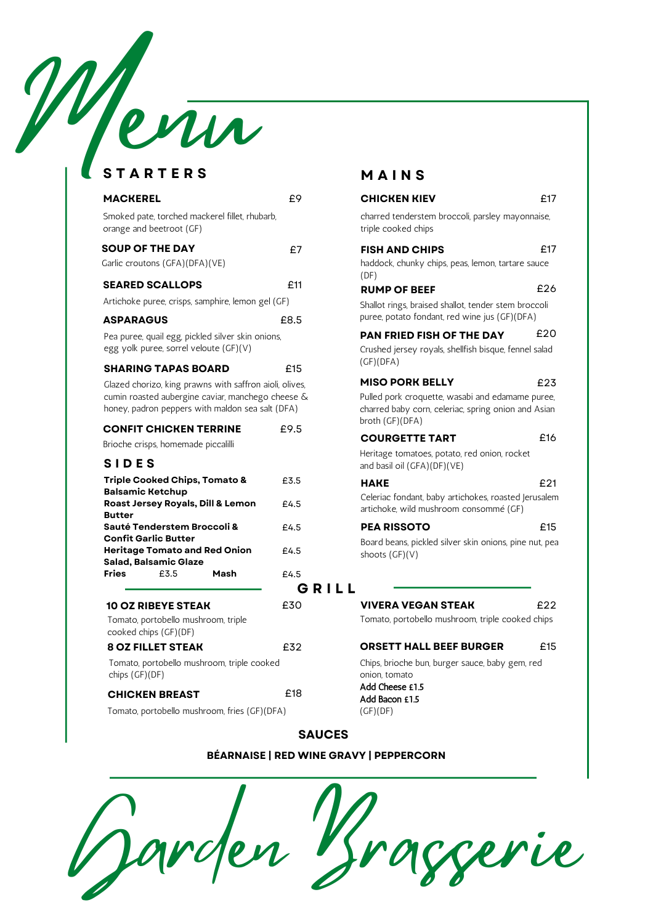# Wenu

#### **S T A R T E R S S I D E S G R I L L MACKEREL Triple Cooked Chips, Tomato & Balsamic Ketchup Roast Jersey Royals, Dill & Lemon Butter Sauté Tenderstem Broccoli & Confit Garlic Butter Heritage Tomato and Red Onion Salad, Balsamic Glaze Fries** £3.5 **Mash SOUP OF THE DAY E E FISH SEARED SCALLOPS CONSUMPLE E11 ASPARAGUS SHARING TAPAS BOARD 10 OZ RIBEYE STEAK** Smoked pate, torched mackerel fillet, rhubarb, orange and beetroot (GF) Garlic croutons (GFA)(DFA)(VE) haddock, chunky chips, peas, lemon, tartare sauce sauce sauce sauce sauce sauce Artichoke puree, crisps, samphire, lemon gel (GF) Shallot Rings, shallow shall Pea puree, quail egg, pickled silver skin onions, egg yolk puree, sorrel veloute (GF)(V) crushed jersey rowals, shellfish bis Glazed chorizo, king prawns with saffron aioli, olives, cumin roasted aubergine caviar, manchego cheese & honey, padron peppers with maldon sea salt (DFA) £8.5 £15 **CONFIT CHICKEN TERRINE** £9.5 Brioche crisps, homemade piccalilli **COURGETTE** Tomato, portobello mushroom, triple cooked chips (GF)(DF) £30 **8 OZ FILLET STEAK** Tomato, portobello mushroom, triple cooked chips (GF)(DF) £32 **CHICKEN BREAST** £18 Tomato, portobello mushroom, fries (GF)(DFA) £3.5 £4.5 £4.5 £4.5 £4.5

# **M A I N S**

|                    | 11 A I I V                                                                                                                 |     |
|--------------------|----------------------------------------------------------------------------------------------------------------------------|-----|
| £9                 | <b>CHICKEN KIEV</b>                                                                                                        | £17 |
|                    | charred tenderstem broccoli, parsley mayonnaise,<br>triple cooked chips                                                    |     |
| £7                 | <b>FISH AND CHIPS</b><br>haddock, chunky chips, peas, lemon, tartare sauce<br>(DF)                                         | £17 |
| £11                | <b>RUMP OF BEEF</b>                                                                                                        | £26 |
| 8.5                | Shallot rings, braised shallot, tender stem broccoli<br>puree, potato fondant, red wine jus (GF)(DFA)                      |     |
| ≘15                | <b>PAN FRIED FISH OF THE DAY</b><br>Crushed jersey royals, shellfish bisque, fennel salad<br>(GF)(DFA)                     | £20 |
| lives.             | <b>MISO PORK BELLY</b>                                                                                                     | £23 |
| ese &<br>A)<br>9.5 | Pulled pork croquette, wasabi and edamame puree,<br>charred baby corn, celeriac, spring onion and Asian<br>broth (GF)(DFA) |     |
|                    | <b>COURGETTE TART</b>                                                                                                      | £16 |
|                    | Heritage tomatoes, potato, red onion, rocket<br>and basil oil (GFA)(DF)(VE)                                                |     |
| 3.5                | <b>HAKE</b>                                                                                                                | £21 |
| 4.5                | Celeriac fondant, baby artichokes, roasted Jerusalem<br>artichoke, wild mushroom consommé (GF)                             |     |
| 4.5                | <b>PEA RISSOTO</b>                                                                                                         | £15 |
| 4.5                | Board beans, pickled silver skin onions, pine nut, pea<br>shoots (GF)(V)                                                   |     |
| 4.5                |                                                                                                                            |     |
| GRILL              |                                                                                                                            |     |
| 30                 | <b>VIVERA VEGAN STEAK</b>                                                                                                  | £22 |

Tomato, portobello mushroom, triple cooked chips

#### **ORSETT HALL BEEF BURGER** £15

Chips, brioche bun, burger sauce, baby gem, red onion, tomato Add Cheese £1.5 Add Bacon £1.5 (GF)(DF)

**SAUCES**

#### **BÉARNAISE | RED WINE GRAVY | PEPPERCORN**